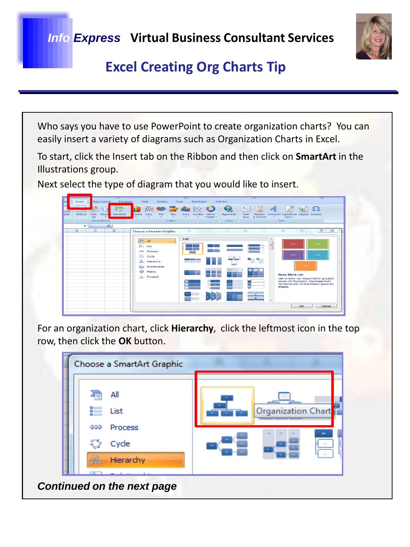*Info Express* **Virtual Business Consultant Services**



# **Excel Creating Org Charts Tip**

Who says you have to use PowerPoint to create organization charts? You can easily insert a variety of diagrams such as Organization Charts in Excel.

To start, click the Insert tab on the Ribbon and then click on **SmartArt** in the Illustrations group.

Next select the type of diagram that you would like to insert.



For an organization chart, click **Hierarchy**, click the leftmost icon in the top row, then click the **OK** button.

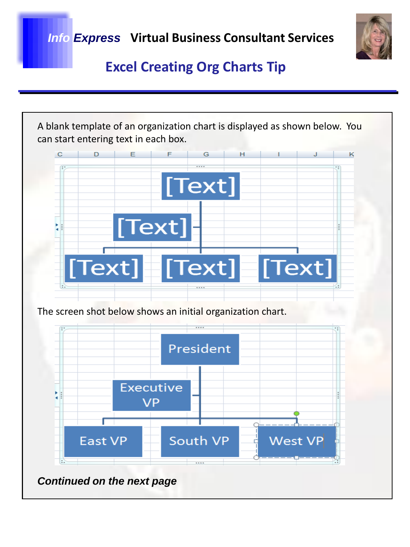*Info Express* **Virtual Business Consultant Services**



# **Excel Creating Org Charts Tip**

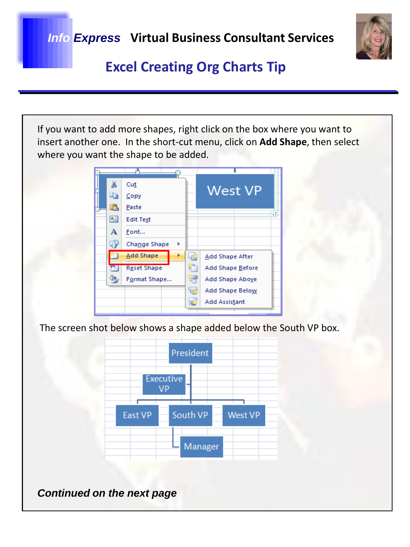

# **Excel Creating Org Charts Tip**

If you want to add more shapes, right click on the box where you want to insert another one. In the short-cut menu, click on **Add Shape**, then select where you want the shape to be added.



The screen shot below shows a shape added below the South VP box.



*Continued on the next page*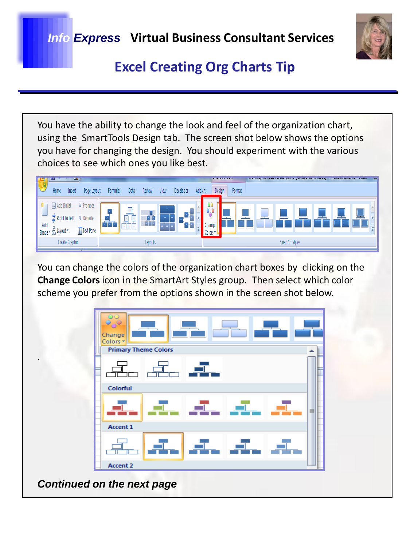

#### **Excel Creating Org Charts Tip**

You have the ability to change the look and feel of the organization chart, using the SmartTools Design tab. The screen shot below shows the options you have for changing the design. You should experiment with the various choices to see which ones you like best.



You can change the colors of the organization chart boxes by clicking on the **Change Colors** icon in the SmartArt Styles group. Then select which color scheme you prefer from the options shown in the screen shot below.



*Continued on the next page*

.